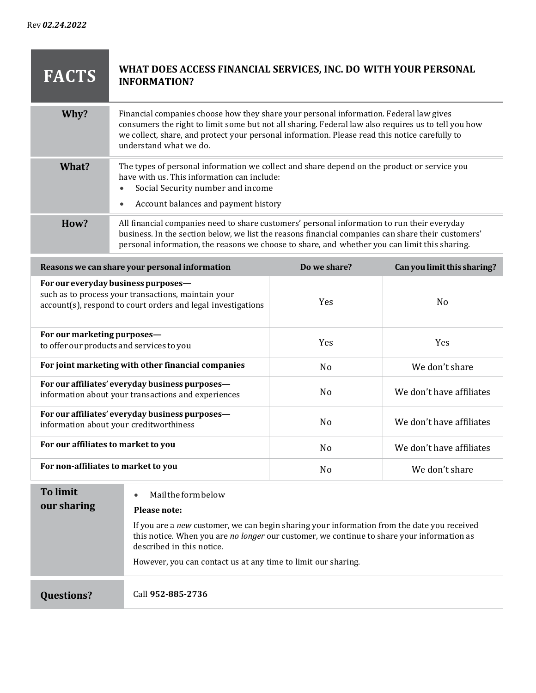**The Committee Committee Committee** 

| <b>FACTS</b> | WHAT DOES ACCESS FINANCIAL SERVICES, INC. DO WITH YOUR PERSONAL<br><b>INFORMATION?</b>                                                                                                                                                                                                                                    |
|--------------|---------------------------------------------------------------------------------------------------------------------------------------------------------------------------------------------------------------------------------------------------------------------------------------------------------------------------|
| Why?         | Financial companies choose how they share your personal information. Federal law gives<br>consumers the right to limit some but not all sharing. Federal law also requires us to tell you how<br>we collect, share, and protect your personal information. Please read this notice carefully to<br>understand what we do. |
| What?        | The types of personal information we collect and share depend on the product or service you<br>have with us. This information can include:<br>Social Security number and income<br>$\bullet$<br>Account balances and payment history<br>$\bullet$                                                                         |
| How?         | All financial companies need to share customers' personal information to run their everyday<br>business. In the section below, we list the reasons financial companies can share their customers'<br>personal information, the reasons we choose to share, and whether you can limit this sharing.                        |

| Reasons we can share your personal information                                                                                                             | Do we share?   | Can you limit this sharing? |
|------------------------------------------------------------------------------------------------------------------------------------------------------------|----------------|-----------------------------|
| For our everyday business purposes—<br>such as to process your transactions, maintain your<br>account(s), respond to court orders and legal investigations | <b>Yes</b>     | N <sub>o</sub>              |
| For our marketing purposes-<br>to offer our products and services to you                                                                                   | <b>Yes</b>     | <b>Yes</b>                  |
| For joint marketing with other financial companies                                                                                                         | N <sub>o</sub> | We don't share              |
| For our affiliates' everyday business purposes-<br>information about your transactions and experiences                                                     | N <sub>0</sub> | We don't have affiliates    |
| For our affiliates' everyday business purposes-<br>information about your creditworthiness                                                                 | N <sub>0</sub> | We don't have affiliates    |
| For our affiliates to market to you                                                                                                                        | N <sub>o</sub> | We don't have affiliates    |
| For non-affiliates to market to you                                                                                                                        | N <sub>o</sub> | We don't share              |

| To limit<br>our sharing | Mail the form below<br>$\bullet$<br>Please note:<br>If you are a new customer, we can begin sharing your information from the date you received<br>this notice. When you are no longer our customer, we continue to share your information as |  |
|-------------------------|-----------------------------------------------------------------------------------------------------------------------------------------------------------------------------------------------------------------------------------------------|--|
|                         | described in this notice.                                                                                                                                                                                                                     |  |
|                         | However, you can contact us at any time to limit our sharing.                                                                                                                                                                                 |  |
| <b>Questions?</b>       | Call 952-885-2736                                                                                                                                                                                                                             |  |